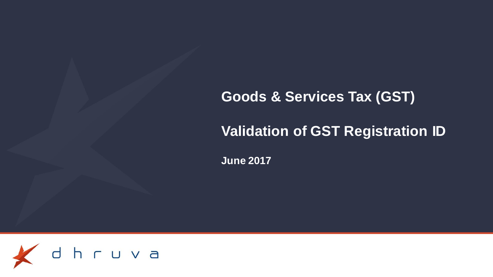# **Goods & Services Tax (GST)**

# **Validation of GST Registration ID**

**June 2017**

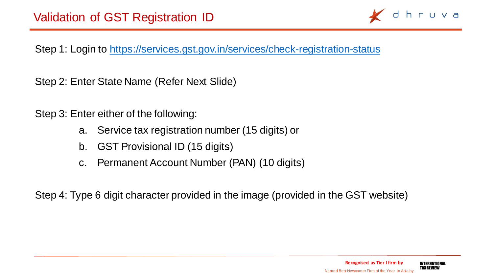

Step 1: Login to<https://services.gst.gov.in/services/check-registration-status>

Step 2: Enter State Name (Refer Next Slide)

Step 3: Enter either of the following:

- a. Service tax registration number (15 digits) or
- b. GST Provisional ID (15 digits)
- c. Permanent Account Number (PAN) (10 digits)

Step 4: Type 6 digit character provided in the image (provided in the GST website)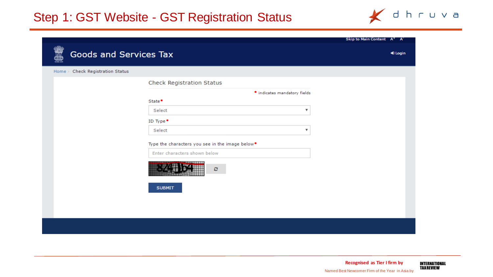## Step 1: GST Website - GST Registration Status



|                                     |                                                             |                              | Skip to Main Content A <sup>+</sup> A <sup>-</sup> |
|-------------------------------------|-------------------------------------------------------------|------------------------------|----------------------------------------------------|
| <b>Goods and Services Tax</b>       |                                                             |                              | 10 Login                                           |
| Check Registration Status<br>Home > |                                                             |                              |                                                    |
|                                     | Check Registration Status                                   |                              |                                                    |
|                                     |                                                             | · indicates mandatory fields |                                                    |
|                                     | State <sup>•</sup>                                          |                              |                                                    |
|                                     | Select                                                      | ▼                            |                                                    |
|                                     | ID Type $\bullet$                                           |                              |                                                    |
|                                     | Select                                                      | ▼                            |                                                    |
|                                     | Type the characters you see in the image below <sup>•</sup> |                              |                                                    |
|                                     | Enter characters shown below                                |                              |                                                    |
|                                     | c                                                           |                              |                                                    |
|                                     | <b>SUBMIT</b>                                               |                              |                                                    |
|                                     |                                                             |                              |                                                    |
|                                     |                                                             |                              |                                                    |
|                                     |                                                             |                              |                                                    |
|                                     |                                                             |                              |                                                    |
|                                     |                                                             |                              |                                                    |

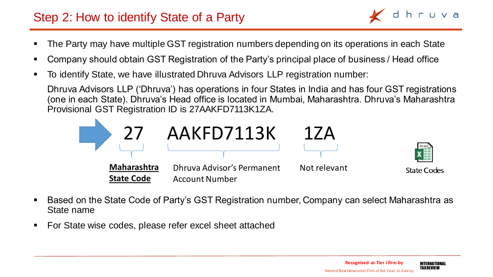## Step 2: How to identify State of a Party

- The Party may have multiple GST registration numbers depending on its operations in each State
- Company should obtain GST Registration of the Party's principal place of business / Head office
- To identify State, we have illustrated Dhruva Advisors LLP registration number:

Dhruva Advisors LLP ('Dhruva') has operations in four States in India and has four GST registrations (one in each State). Dhruva's Head office is located in Mumbai, Maharashtra. Dhruva's Maharashtra Provisional GST Registration ID is 27AAKFD7113K1ZA.



- Based on the State Code of Party's GST Registration number, Company can select Maharashtra as State name
- For State wise codes, please refer excel sheet attached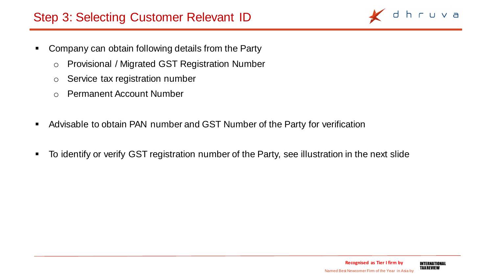## Step 3: Selecting Customer Relevant ID

- Company can obtain following details from the Party
	- o Provisional / Migrated GST Registration Number
	- o Service tax registration number
	- o Permanent Account Number
- Advisable to obtain PAN number and GST Number of the Party for verification
- To identify or verify GST registration number of the Party, see illustration in the next slide



hruva

 $\Box$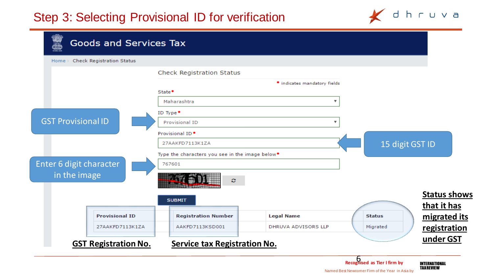

| Home                                                                 | Check Registration Status   |                                                             |                              |               |                                    |
|----------------------------------------------------------------------|-----------------------------|-------------------------------------------------------------|------------------------------|---------------|------------------------------------|
|                                                                      |                             | Check Registration Status                                   |                              |               |                                    |
|                                                                      |                             |                                                             | · indicates mandatory fields |               |                                    |
|                                                                      |                             | State <sup>•</sup>                                          |                              |               |                                    |
| <b>GST Provisional ID</b><br>Enter 6 digit character<br>in the image |                             | Maharashtra                                                 | $\overline{\mathbf{v}}$      |               |                                    |
|                                                                      |                             | ID Type <sup>.</sup>                                        |                              |               |                                    |
|                                                                      |                             | Provisional ID                                              | $\boldsymbol{\mathrm{v}}$    |               |                                    |
|                                                                      |                             | Provisional ID <sup>.</sup>                                 |                              |               |                                    |
|                                                                      |                             | 27AAKFD7113K1ZA                                             |                              |               | 15 digit GST ID                    |
|                                                                      |                             | Type the characters you see in the image below <sup>®</sup> |                              |               |                                    |
|                                                                      |                             | 767601                                                      |                              |               |                                    |
|                                                                      |                             | ø                                                           |                              |               |                                    |
|                                                                      |                             | <b>SUBMIT</b>                                               |                              |               | <b>Status shows</b><br>that it has |
|                                                                      | <b>Provisional ID</b>       | <b>Registration Number</b>                                  | <b>Legal Name</b>            | <b>Status</b> | migrated its                       |
|                                                                      | 27AAKFD7113K1ZA             | AAKFD7113KSD001                                             | DHRUVA ADVISORS LLP          | Migrated      | registration                       |
|                                                                      | <b>GST Registration No.</b> | <b>Service tax Registration No.</b>                         |                              |               | under GST                          |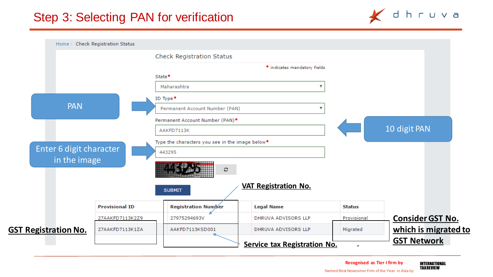





Named Best Newcomer Firm of the Year in Asia by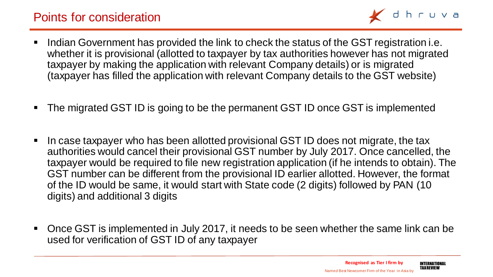

- Indian Government has provided the link to check the status of the GST registration i.e. whether it is provisional (allotted to taxpayer by tax authorities however has not migrated taxpayer by making the application with relevant Company details) or is migrated (taxpayer has filled the application with relevant Company details to the GST website)
- The migrated GST ID is going to be the permanent GST ID once GST is implemented
- In case taxpayer who has been allotted provisional GST ID does not migrate, the tax authorities would cancel their provisional GST number by July 2017. Once cancelled, the taxpayer would be required to file new registration application (if he intends to obtain). The GST number can be different from the provisional ID earlier allotted. However, the format of the ID would be same, it would start with State code (2 digits) followed by PAN (10 digits) and additional 3 digits
- Once GST is implemented in July 2017, it needs to be seen whether the same link can be used for verification of GST ID of any taxpayer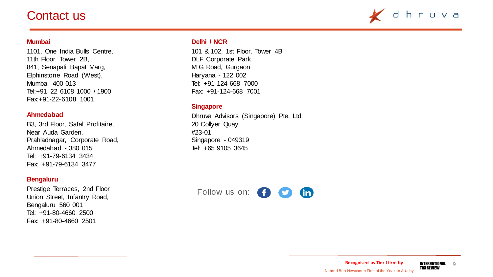### Contact us



#### **Mumbai**

1101, One India Bulls Centre, 11th Floor, Tower 2B, 841, Senapati Bapat Marg, Elphinstone Road (West), Mumbai 400 013 Tel:+91 22 6108 1000 / 1900 Fax:+91-22-6108 1001

#### **Ahmedabad**

B3, 3rd Floor, Safal Profitaire, Near Auda Garden, Prahladnagar, Corporate Road, Ahmedabad - 380 015 Tel: +91-79-6134 3434 Fax: +91-79-6134 3477

#### **Bengaluru**

Prestige Terraces, 2nd Floor Union Street, Infantry Road, Bengaluru 560 001 Tel: +91-80-4660 2500 Fax: +91-80-4660 2501

#### **Delhi / NCR**

101 & 102, 1st Floor, Tower 4B DLF Corporate Park M G Road, Gurgaon Haryana - 122 002 Tel: +91-124-668 7000 Fax: +91-124-668 7001

#### **Singapore**

Dhruva Advisors (Singapore) Pte. Ltd. 20 Collyer Quay, #23-01, Singapore - 049319 Tel: +65 9105 3645